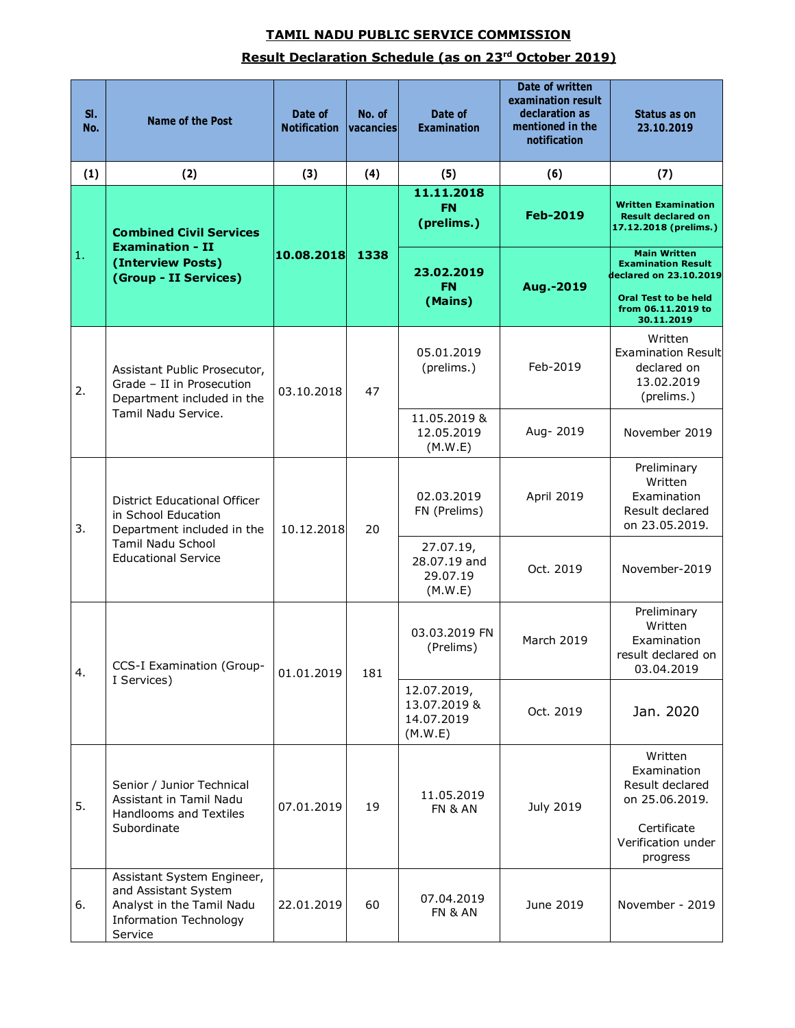## **TAMIL NADU PUBLIC SERVICE COMMISSION Result Declaration Schedule (as on 23rd October 2019)**

| SI.<br>No. | <b>Name of the Post</b>                                                                                                                     | Date of<br><b>Notification</b> | No. of<br>vacancies | Date of<br><b>Examination</b>                        | Date of written<br>examination result<br>declaration as<br>mentioned in the<br>notification | Status as on<br>23.10.2019                                                       |
|------------|---------------------------------------------------------------------------------------------------------------------------------------------|--------------------------------|---------------------|------------------------------------------------------|---------------------------------------------------------------------------------------------|----------------------------------------------------------------------------------|
| (1)        | (2)                                                                                                                                         | (3)                            | (4)                 | (5)                                                  | (6)                                                                                         | (7)                                                                              |
| 1.         | <b>Combined Civil Services</b><br><b>Examination - II</b><br>(Interview Posts)<br>(Group - II Services)                                     | 10.08.2018                     | 1338                | 11.11.2018<br><b>FN</b><br>(prelims.)                | <b>Feb-2019</b>                                                                             | <b>Written Examination</b><br><b>Result declared on</b><br>17.12.2018 (prelims.) |
|            |                                                                                                                                             |                                |                     | 23.02.2019<br><b>FN</b><br>(Mains)                   | Aug.-2019                                                                                   | <b>Main Written</b><br><b>Examination Result</b><br>declared on 23.10.2019       |
|            |                                                                                                                                             |                                |                     |                                                      |                                                                                             | <b>Oral Test to be held</b><br>from 06.11.2019 to<br>30.11.2019                  |
| 2.         | Assistant Public Prosecutor,<br>Grade - II in Prosecution<br>Department included in the<br>Tamil Nadu Service.                              | 03.10.2018                     | 47                  | 05.01.2019<br>(prelims.)                             | Feb-2019                                                                                    | Written<br><b>Examination Result</b><br>declared on<br>13.02.2019<br>(prelims.)  |
|            |                                                                                                                                             |                                |                     | 11.05.2019 &<br>12.05.2019<br>(M.W.E)                | Aug- 2019                                                                                   | November 2019                                                                    |
| 3.         | <b>District Educational Officer</b><br>in School Education<br>Department included in the<br>Tamil Nadu School<br><b>Educational Service</b> | 10.12.2018                     | 20                  | 02.03.2019<br>FN (Prelims)                           | April 2019                                                                                  | Preliminary<br>Written<br>Examination<br>Result declared<br>on 23.05.2019.       |
|            |                                                                                                                                             |                                |                     | 27.07.19,<br>28.07.19 and<br>29.07.19<br>(M.W.E)     | Oct. 2019                                                                                   | November-2019                                                                    |
| 4.         | CCS-I Examination (Group-<br>I Services)                                                                                                    | 01.01.2019                     | 181                 | 03.03.2019 FN<br>(Prelims)                           | <b>March 2019</b>                                                                           | Preliminary<br>Written<br>Examination<br>result declared on<br>03.04.2019        |
|            |                                                                                                                                             |                                |                     | 12.07.2019,<br>13.07.2019 &<br>14.07.2019<br>(M.W.E) | Oct. 2019                                                                                   | Jan. 2020                                                                        |
| 5.         | Senior / Junior Technical<br>Assistant in Tamil Nadu<br>Handlooms and Textiles<br>Subordinate                                               | 07.01.2019                     | 19                  | 11.05.2019<br>FN & AN                                | July 2019                                                                                   | Written<br>Examination<br>Result declared<br>on 25.06.2019.<br>Certificate       |
|            |                                                                                                                                             |                                |                     |                                                      |                                                                                             | Verification under<br>progress                                                   |
| 6.         | Assistant System Engineer,<br>and Assistant System<br>Analyst in the Tamil Nadu<br><b>Information Technology</b><br>Service                 | 22.01.2019                     | 60                  | 07.04.2019<br>FN & AN                                | June 2019                                                                                   | November - 2019                                                                  |